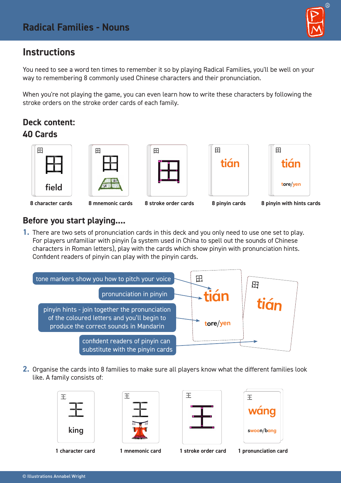# $\circledR$

# **Instructions**

You need to see a word ten times to remember it so by playing Radical Families, you'll be well on your way to remembering 8 commonly used Chinese characters and their pronunciation.

When you're not playing the game, you can even learn how to write these characters by following the stroke orders on the stroke order cards of each family.

# **Deck content: 40 Cards**











#### **8 character cards 8 mnemonic cards 8 stroke order cards 8 pinyin cards 8 pinyin with hints cards**

## **Before you start playing....**

**1.** There are two sets of pronunciation cards in this deck and you only need to use one set to play. For players unfamiliar with pinyin (a system used in China to spell out the sounds of Chinese characters in Roman letters), play with the cards which show pinyin with pronunciation hints. Confident readers of pinyin can play with the pinyin cards.



**2.** Organise the cards into 8 families to make sure all players know what the different families look like. A family consists of:



| m                      |  |
|------------------------|--|
| 1<br>P<br>ŧ<br>ecce    |  |
| <b>ANTIFACTURATION</b> |  |





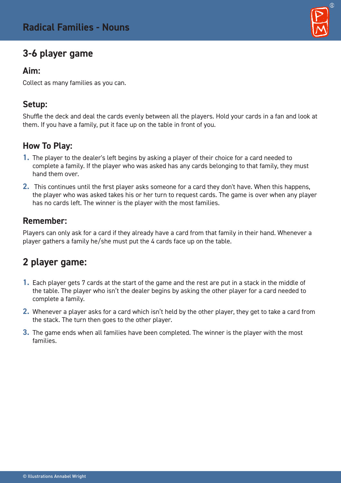# **3-6 player game**

#### **Aim:**

Collect as many families as you can.

#### **Setup:**

Shuffle the deck and deal the cards evenly between all the players. Hold your cards in a fan and look at them. If you have a family, put it face up on the table in front of you.

# **How To Play:**

- **1.** The player to the dealer's left begins by asking a player of their choice for a card needed to complete a family. If the player who was asked has any cards belonging to that family, they must hand them over.
- **2.** This continues until the first player asks someone for a card they don't have. When this happens, the player who was asked takes his or her turn to request cards. The game is over when any player has no cards left. The winner is the player with the most families.

## **Remember:**

Players can only ask for a card if they already have a card from that family in their hand. Whenever a player gathers a family he/she must put the 4 cards face up on the table.

# **2 player game:**

- **1.** Each player gets 7 cards at the start of the game and the rest are put in a stack in the middle of the table. The player who isn't the dealer begins by asking the other player for a card needed to complete a family.
- **2.** Whenever a player asks for a card which isn't held by the other player, they get to take a card from the stack. The turn then goes to the other player.
- **3.** The game ends when all families have been completed. The winner is the player with the most families.